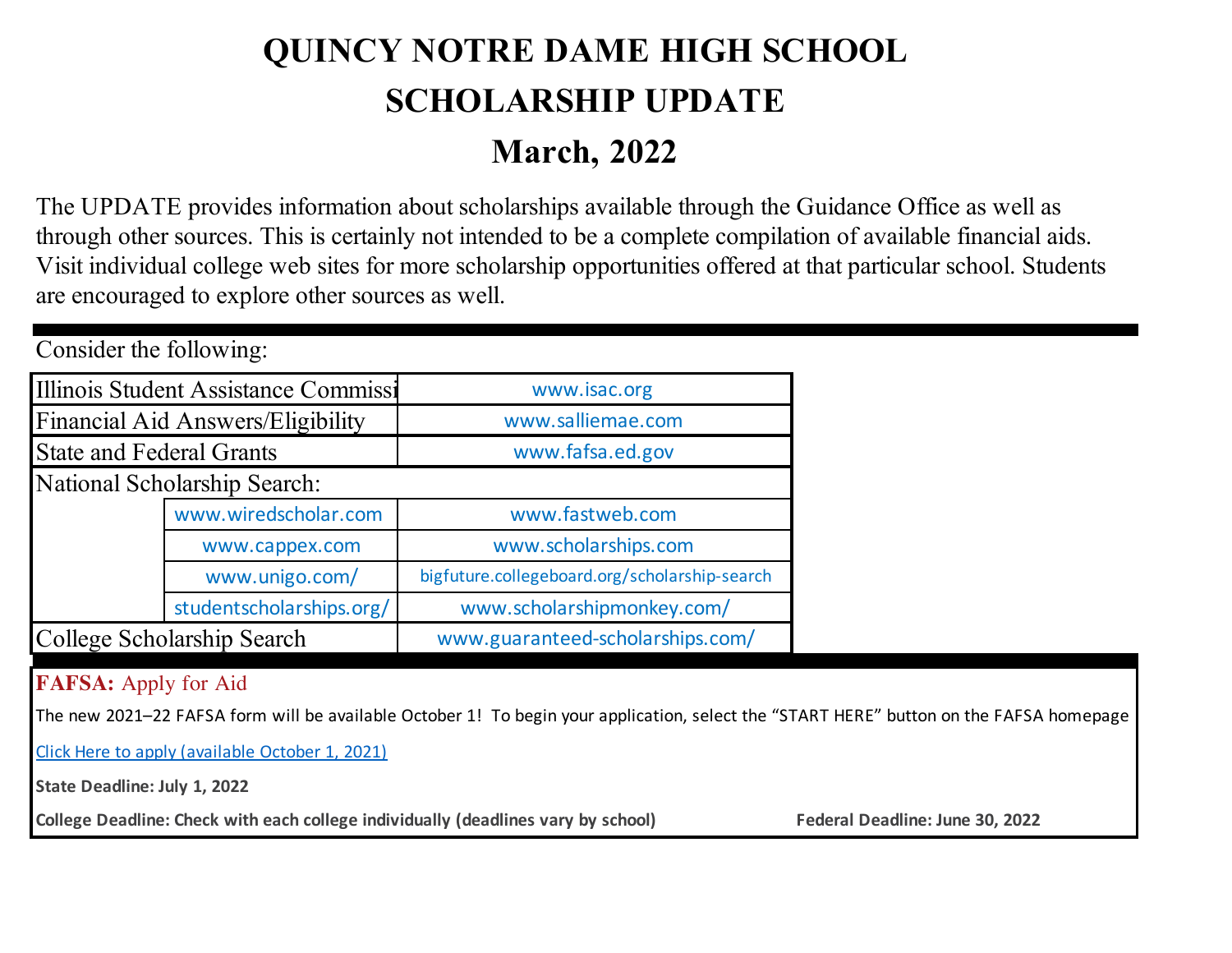## **QUINCY NOTRE DAME HIGH SCHOOL SCHOLARSHIP UPDATE March, 2022**

The UPDATE provides information about scholarships available through the Guidance Office as well as through other sources. This is certainly not intended to be a complete compilation of available financial aids. Visit individual college web sites for more scholarship opportunities offered at that particular school. Students are encouraged to explore other sources as well.

| CONSIGER THE TOTIOWING.         |                                      |                                               |  |  |  |  |
|---------------------------------|--------------------------------------|-----------------------------------------------|--|--|--|--|
|                                 | Illinois Student Assistance Commissi | www.isac.org                                  |  |  |  |  |
|                                 | Financial Aid Answers/Eligibility    | www.salliemae.com                             |  |  |  |  |
| <b>State and Federal Grants</b> |                                      | www.fafsa.ed.gov                              |  |  |  |  |
| National Scholarship Search:    |                                      |                                               |  |  |  |  |
|                                 | www.wiredscholar.com                 | www.fastweb.com                               |  |  |  |  |
|                                 | www.cappex.com                       | www.scholarships.com                          |  |  |  |  |
|                                 | www.unigo.com/                       | bigfuture.collegeboard.org/scholarship-search |  |  |  |  |
|                                 | studentscholarships.org/             | www.scholarshipmonkey.com/                    |  |  |  |  |
| College Scholarship Search      |                                      | www.guaranteed-scholarships.com/              |  |  |  |  |

## **FAFSA:** Apply for Aid

Consider the following:

The new 2021–22 FAFSA form will be available October 1! To begin your application, select the "START HERE" button on the FAFSA homepage

Click Here to apply (available October 1, 2021)

**State Deadline: July 1, 2022**

College Deadline: Check with each college individually (deadlines vary by school) Federal Deadline: June 30, 2022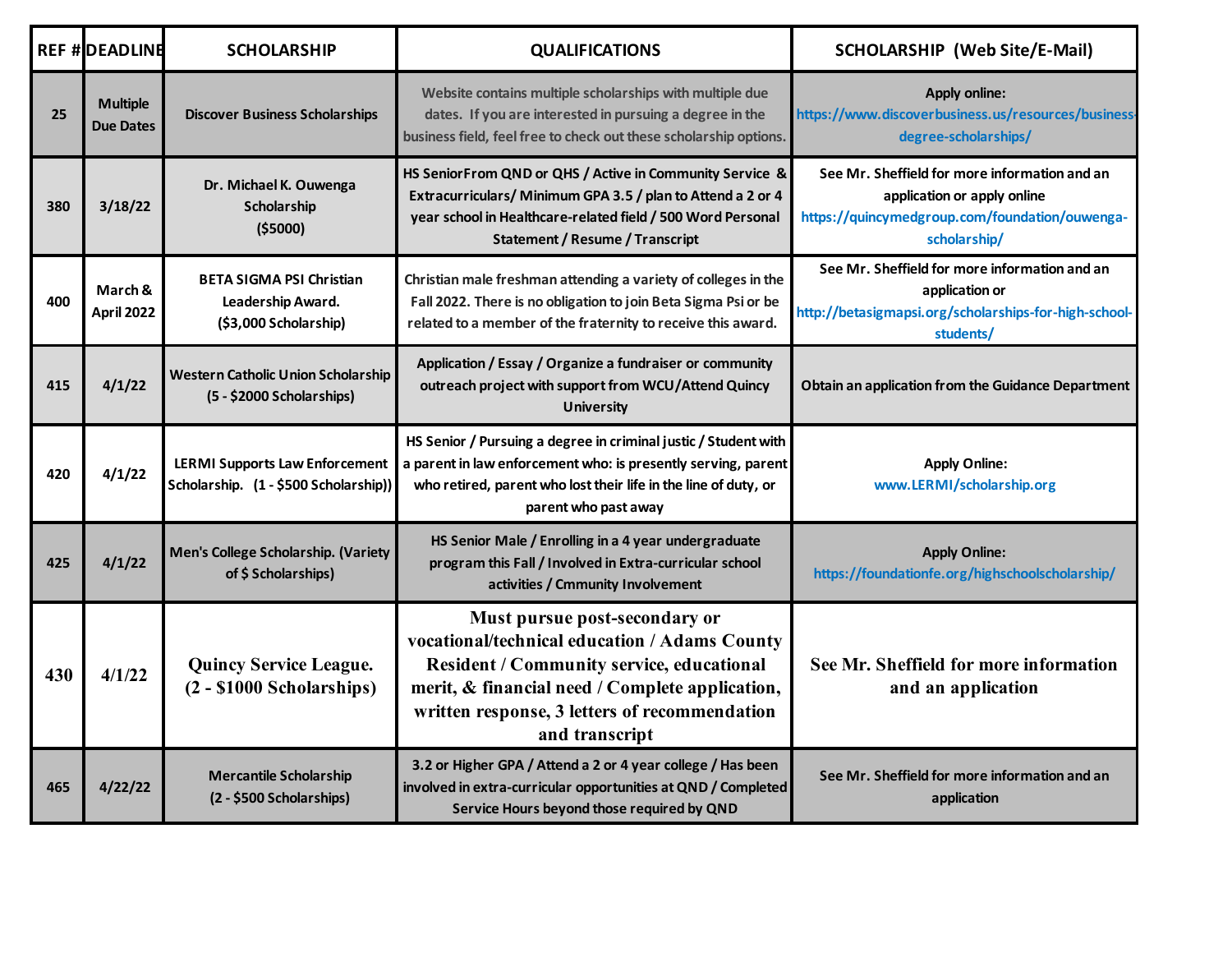|     | <b>REF #DEADLINE</b>                | <b>SCHOLARSHIP</b>                                                             | <b>QUALIFICATIONS</b>                                                                                                                                                                                                                                    | <b>SCHOLARSHIP (Web Site/E-Mail)</b>                                                                                                           |
|-----|-------------------------------------|--------------------------------------------------------------------------------|----------------------------------------------------------------------------------------------------------------------------------------------------------------------------------------------------------------------------------------------------------|------------------------------------------------------------------------------------------------------------------------------------------------|
| 25  | <b>Multiple</b><br><b>Due Dates</b> | <b>Discover Business Scholarships</b>                                          | Website contains multiple scholarships with multiple due<br>dates. If you are interested in pursuing a degree in the<br>business field, feel free to check out these scholarship options.                                                                | <b>Apply online:</b><br>https://www.discoverbusiness.us/resources/business<br>degree-scholarships/                                             |
| 380 | 3/18/22                             | Dr. Michael K. Ouwenga<br>Scholarship<br>( \$5000)                             | HS SeniorFrom QND or QHS / Active in Community Service &<br>Extracurriculars/ Minimum GPA 3.5 / plan to Attend a 2 or 4<br>year school in Healthcare-related field / 500 Word Personal<br><b>Statement / Resume / Transcript</b>                         | See Mr. Sheffield for more information and an<br>application or apply online<br>https://quincymedgroup.com/foundation/ouwenga-<br>scholarship/ |
| 400 | March &<br>April 2022               | <b>BETA SIGMA PSI Christian</b><br>Leadership Award.<br>(\$3,000 Scholarship)  | Christian male freshman attending a variety of colleges in the<br>Fall 2022. There is no obligation to join Beta Sigma Psi or be<br>related to a member of the fraternity to receive this award.                                                         | See Mr. Sheffield for more information and an<br>application or<br>http://betasigmapsi.org/scholarships-for-high-school-<br>students/          |
| 415 | 4/1/22                              | <b>Western Catholic Union Scholarship</b><br>(5 - \$2000 Scholarships)         | Application / Essay / Organize a fundraiser or community<br>outreach project with support from WCU/Attend Quincy<br><b>University</b>                                                                                                                    | Obtain an application from the Guidance Department                                                                                             |
| 420 | 4/1/22                              | <b>LERMI Supports Law Enforcement</b><br>Scholarship. (1 - \$500 Scholarship)) | HS Senior / Pursuing a degree in criminal justic / Student with<br>a parent in law enforcement who: is presently serving, parent<br>who retired, parent who lost their life in the line of duty, or<br>parent who past away                              | <b>Apply Online:</b><br>www.LERMI/scholarship.org                                                                                              |
| 425 | 4/1/22                              | Men's College Scholarship. (Variety<br>of \$ Scholarships)                     | HS Senior Male / Enrolling in a 4 year undergraduate<br>program this Fall / Involved in Extra-curricular school<br>activities / Cmmunity Involvement                                                                                                     | <b>Apply Online:</b><br>https://foundationfe.org/highschoolscholarship/                                                                        |
| 430 | 4/1/22                              | <b>Quincy Service League.</b><br>$(2 - $1000 Scholarships)$                    | Must pursue post-secondary or<br>vocational/technical education / Adams County<br><b>Resident / Community service, educational</b><br>merit, & financial need / Complete application,<br>written response, 3 letters of recommendation<br>and transcript | See Mr. Sheffield for more information<br>and an application                                                                                   |
| 465 | 4/22/22                             | <b>Mercantile Scholarship</b><br>(2 - \$500 Scholarships)                      | 3.2 or Higher GPA / Attend a 2 or 4 year college / Has been<br>involved in extra-curricular opportunities at QND / Completed<br>Service Hours beyond those required by QND                                                                               | See Mr. Sheffield for more information and an<br>application                                                                                   |